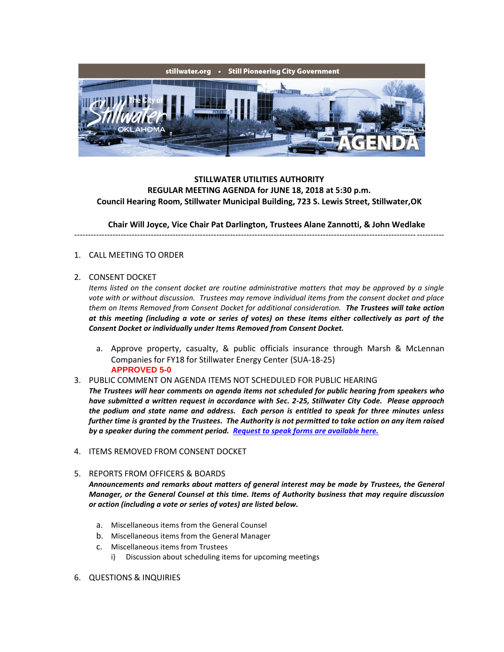

## **STILLWATER UTILITIES AUTHORITY REGULAR MEETING AGENDA for JUNE 18, 2018 at 5:30 p.m. Council Hearing Room, Stillwater Municipal Building, 723 S. Lewis Street, Stillwater,OK**

**Chair Will Joyce, Vice Chair Pat Darlington, Trustees Alane Zannotti, & John Wedlake**

---------------------------------------------------------------------------------------------------------------------------------------

## 1. CALL MEETING TO ORDER

## 2. CONSENT DOCKET

*Items listed on the consent docket are routine administrative matters that may be approved by a single vote with or without discussion. Trustees may remove individual items from the consent docket and place them on Items Removed from Consent Docket for additional consideration. The Trustees will take action at this meeting (including a vote or series of votes) on these items either collectively as part of the Consent Docket or individually under Items Removed from Consent Docket.*

- a. Approve property, casualty, & public officials insurance through Marsh & McLennan Companies for FY18 for Stillwater Energy Center (SUA-18-25) **APPROVED 5-0**
- 3. PUBLIC COMMENT ON AGENDA ITEMS NOT SCHEDULED FOR PUBLIC HEARING

*The Trustees will hear comments on agenda items not scheduled for public hearing from speakers who have submitted a written request in accordance with Sec. 2-25, Stillwater City Code. Please approach the podium and state name and address. Each person is entitled to speak for three minutes unless further time is granted by the Trustees. The Authority is not permitted to take action on any item raised by a speaker during the comment period. [Request to speak forms are available here.](http://stillwater.org/document/request_to_speak_at_city_council.php)*

- 4. ITEMS REMOVED FROM CONSENT DOCKET
- 5. REPORTS FROM OFFICERS & BOARDS *Announcements and remarks about matters of general interest may be made by Trustees, the General Manager, or the General Counsel at this time. Items of Authority business that may require discussion or action (including a vote or series of votes) are listed below.*
	- a. Miscellaneous items from the General Counsel
	- b. Miscellaneous items from the General Manager
	- c. Miscellaneous items from Trustees
		- i) Discussion about scheduling items for upcoming meetings
- 6. QUESTIONS & INQUIRIES